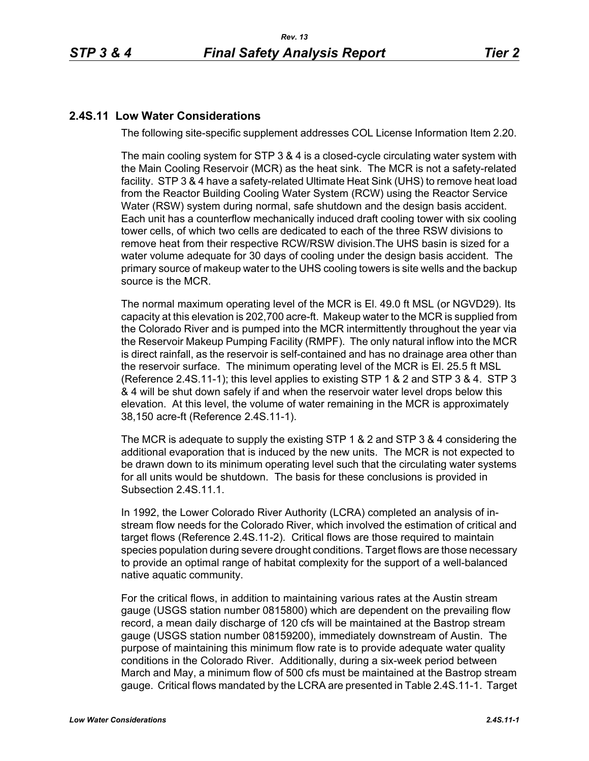# **2.4S.11 Low Water Considerations**

The following site-specific supplement addresses COL License Information Item 2.20.

The main cooling system for STP 3 & 4 is a closed-cycle circulating water system with the Main Cooling Reservoir (MCR) as the heat sink. The MCR is not a safety-related facility. STP 3 & 4 have a safety-related Ultimate Heat Sink (UHS) to remove heat load from the Reactor Building Cooling Water System (RCW) using the Reactor Service Water (RSW) system during normal, safe shutdown and the design basis accident. Each unit has a counterflow mechanically induced draft cooling tower with six cooling tower cells, of which two cells are dedicated to each of the three RSW divisions to remove heat from their respective RCW/RSW division.The UHS basin is sized for a water volume adequate for 30 days of cooling under the design basis accident. The primary source of makeup water to the UHS cooling towers is site wells and the backup source is the MCR.

The normal maximum operating level of the MCR is El. 49.0 ft MSL (or NGVD29). Its capacity at this elevation is 202,700 acre-ft. Makeup water to the MCR is supplied from the Colorado River and is pumped into the MCR intermittently throughout the year via the Reservoir Makeup Pumping Facility (RMPF). The only natural inflow into the MCR is direct rainfall, as the reservoir is self-contained and has no drainage area other than the reservoir surface. The minimum operating level of the MCR is El. 25.5 ft MSL (Reference [2.4S.11-1\)](#page-4-0); this level applies to existing STP 1 & 2 and STP 3 & 4. STP 3 & 4 will be shut down safely if and when the reservoir water level drops below this elevation. At this level, the volume of water remaining in the MCR is approximately 38,150 acre-ft (Reference [2.4S.11-1\)](#page-4-0).

The MCR is adequate to supply the existing STP 1 & 2 and STP 3 & 4 considering the additional evaporation that is induced by the new units. The MCR is not expected to be drawn down to its minimum operating level such that the circulating water systems for all units would be shutdown. The basis for these conclusions is provided in Subsection 2.4S.11.1.

In 1992, the Lower Colorado River Authority (LCRA) completed an analysis of instream flow needs for the Colorado River, which involved the estimation of critical and target flows (Reference [2.4S.11-2](#page-4-1)). Critical flows are those required to maintain species population during severe drought conditions. Target flows are those necessary to provide an optimal range of habitat complexity for the support of a well-balanced native aquatic community.

For the critical flows, in addition to maintaining various rates at the Austin stream gauge (USGS station number 0815800) which are dependent on the prevailing flow record, a mean daily discharge of 120 cfs will be maintained at the Bastrop stream gauge (USGS station number 08159200), immediately downstream of Austin. The purpose of maintaining this minimum flow rate is to provide adequate water quality conditions in the Colorado River. Additionally, during a six-week period between March and May, a minimum flow of 500 cfs must be maintained at the Bastrop stream gauge. Critical flows mandated by the LCRA are presented in Table [2.4S.11-1](#page-5-0). Target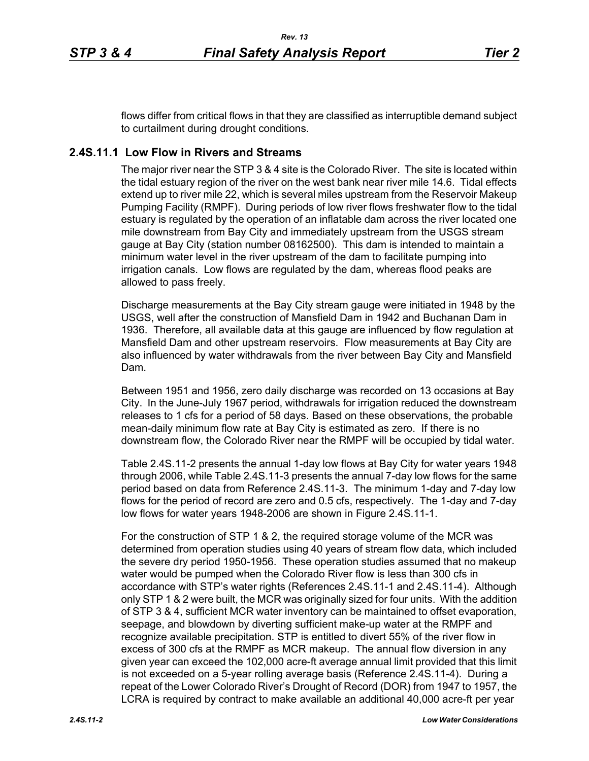flows differ from critical flows in that they are classified as interruptible demand subject to curtailment during drought conditions.

## **2.4S.11.1 Low Flow in Rivers and Streams**

The major river near the STP 3 & 4 site is the Colorado River. The site is located within the tidal estuary region of the river on the west bank near river mile 14.6. Tidal effects extend up to river mile 22, which is several miles upstream from the Reservoir Makeup Pumping Facility (RMPF). During periods of low river flows freshwater flow to the tidal estuary is regulated by the operation of an inflatable dam across the river located one mile downstream from Bay City and immediately upstream from the USGS stream gauge at Bay City (station number 08162500). This dam is intended to maintain a minimum water level in the river upstream of the dam to facilitate pumping into irrigation canals. Low flows are regulated by the dam, whereas flood peaks are allowed to pass freely.

Discharge measurements at the Bay City stream gauge were initiated in 1948 by the USGS, well after the construction of Mansfield Dam in 1942 and Buchanan Dam in 1936. Therefore, all available data at this gauge are influenced by flow regulation at Mansfield Dam and other upstream reservoirs. Flow measurements at Bay City are also influenced by water withdrawals from the river between Bay City and Mansfield Dam.

Between 1951 and 1956, zero daily discharge was recorded on 13 occasions at Bay City. In the June-July 1967 period, withdrawals for irrigation reduced the downstream releases to 1 cfs for a period of 58 days. Based on these observations, the probable mean-daily minimum flow rate at Bay City is estimated as zero. If there is no downstream flow, the Colorado River near the RMPF will be occupied by tidal water.

Table [2.4S.11-2](#page-6-0) presents the annual 1-day low flows at Bay City for water years 1948 through 2006, while Table [2.4S.11-3](#page-7-0) presents the annual 7-day low flows for the same period based on data from Reference [2.4S.11-3.](#page-4-2) The minimum 1-day and 7-day low flows for the period of record are zero and 0.5 cfs, respectively. The 1-day and 7-day low flows for water years 1948-2006 are shown in Figure [2.4S.11-1](#page-8-0).

For the construction of STP 1 & 2, the required storage volume of the MCR was determined from operation studies using 40 years of stream flow data, which included the severe dry period 1950-1956. These operation studies assumed that no makeup water would be pumped when the Colorado River flow is less than 300 cfs in accordance with STP's water rights (References [2.4S.11-1](#page-4-0) and [2.4S.11-4](#page-4-3)). Although only STP 1 & 2 were built, the MCR was originally sized for four units. With the addition of STP 3 & 4, sufficient MCR water inventory can be maintained to offset evaporation, seepage, and blowdown by diverting sufficient make-up water at the RMPF and recognize available precipitation. STP is entitled to divert 55% of the river flow in excess of 300 cfs at the RMPF as MCR makeup. The annual flow diversion in any given year can exceed the 102,000 acre-ft average annual limit provided that this limit is not exceeded on a 5-year rolling average basis (Reference [2.4S.11-4](#page-4-3)). During a repeat of the Lower Colorado River's Drought of Record (DOR) from 1947 to 1957, the LCRA is required by contract to make available an additional 40,000 acre-ft per year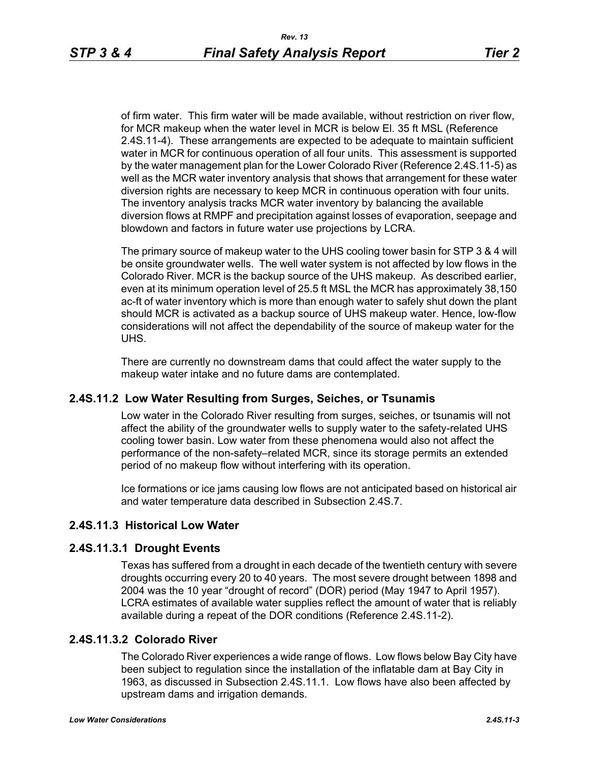of firm water. This firm water will be made available, without restriction on river flow, for MCR makeup when the water level in MCR is below El. 35 ft MSL (Reference [2.4S.11-4\)](#page-4-3). These arrangements are expected to be adequate to maintain sufficient water in MCR for continuous operation of all four units. This assessment is supported by the water management plan for the Lower Colorado River (Reference [2.4S.11-5](#page-4-4)) as well as the MCR water inventory analysis that shows that arrangement for these water diversion rights are necessary to keep MCR in continuous operation with four units. The inventory analysis tracks MCR water inventory by balancing the available diversion flows at RMPF and precipitation against losses of evaporation, seepage and blowdown and factors in future water use projections by LCRA.

The primary source of makeup water to the UHS cooling tower basin for STP 3 & 4 will be onsite groundwater wells. The well water system is not affected by low flows in the Colorado River. MCR is the backup source of the UHS makeup. As described earlier, even at its minimum operation level of 25.5 ft MSL the MCR has approximately 38,150 ac-ft of water inventory which is more than enough water to safely shut down the plant should MCR is activated as a backup source of UHS makeup water. Hence, low-flow considerations will not affect the dependability of the source of makeup water for the UHS.

There are currently no downstream dams that could affect the water supply to the makeup water intake and no future dams are contemplated.

### **2.4S.11.2 Low Water Resulting from Surges, Seiches, or Tsunamis**

Low water in the Colorado River resulting from surges, seiches, or tsunamis will not affect the ability of the groundwater wells to supply water to the safety-related UHS cooling tower basin. Low water from these phenomena would also not affect the performance of the non-safety–related MCR, since its storage permits an extended period of no makeup flow without interfering with its operation.

Ice formations or ice jams causing low flows are not anticipated based on historical air and water temperature data described in Subsection 2.4S.7.

## **2.4S.11.3 Historical Low Water**

### **2.4S.11.3.1 Drought Events**

Texas has suffered from a drought in each decade of the twentieth century with severe droughts occurring every 20 to 40 years. The most severe drought between 1898 and 2004 was the 10 year "drought of record" (DOR) period (May 1947 to April 1957). LCRA estimates of available water supplies reflect the amount of water that is reliably available during a repeat of the DOR conditions (Reference [2.4S.11-2\)](#page-4-1).

### **2.4S.11.3.2 Colorado River**

The Colorado River experiences a wide range of flows. Low flows below Bay City have been subject to regulation since the installation of the inflatable dam at Bay City in 1963, as discussed in Subsection 2.4S.11.1. Low flows have also been affected by upstream dams and irrigation demands.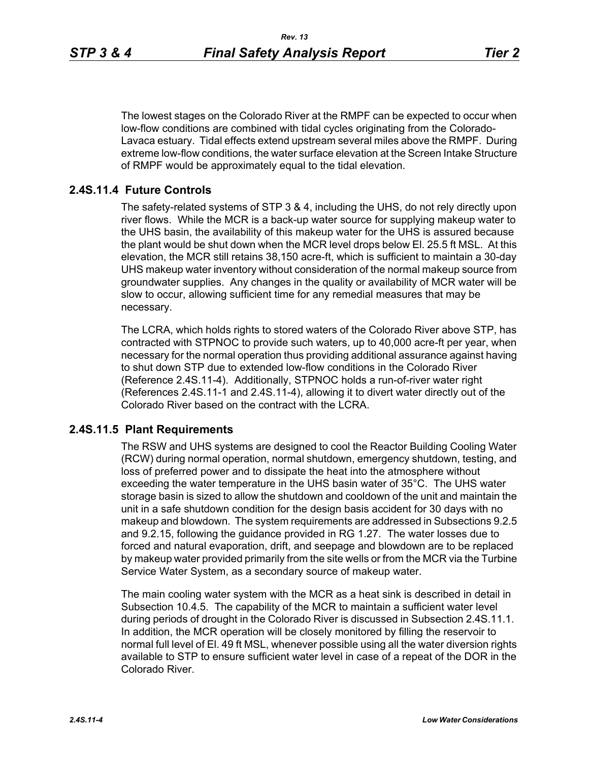The lowest stages on the Colorado River at the RMPF can be expected to occur when low-flow conditions are combined with tidal cycles originating from the Colorado-Lavaca estuary. Tidal effects extend upstream several miles above the RMPF. During extreme low-flow conditions, the water surface elevation at the Screen Intake Structure of RMPF would be approximately equal to the tidal elevation.

# **2.4S.11.4 Future Controls**

The safety-related systems of STP 3 & 4, including the UHS, do not rely directly upon river flows. While the MCR is a back-up water source for supplying makeup water to the UHS basin, the availability of this makeup water for the UHS is assured because the plant would be shut down when the MCR level drops below El. 25.5 ft MSL. At this elevation, the MCR still retains 38,150 acre-ft, which is sufficient to maintain a 30-day UHS makeup water inventory without consideration of the normal makeup source from groundwater supplies. Any changes in the quality or availability of MCR water will be slow to occur, allowing sufficient time for any remedial measures that may be necessary.

The LCRA, which holds rights to stored waters of the Colorado River above STP, has contracted with STPNOC to provide such waters, up to 40,000 acre-ft per year, when necessary for the normal operation thus providing additional assurance against having to shut down STP due to extended low-flow conditions in the Colorado River (Reference [2.4S.11-4\)](#page-4-3). Additionally, STPNOC holds a run-of-river water right (References [2.4S.11-1](#page-4-0) and [2.4S.11-4\)](#page-4-3), allowing it to divert water directly out of the Colorado River based on the contract with the LCRA.

### **2.4S.11.5 Plant Requirements**

The RSW and UHS systems are designed to cool the Reactor Building Cooling Water (RCW) during normal operation, normal shutdown, emergency shutdown, testing, and loss of preferred power and to dissipate the heat into the atmosphere without exceeding the water temperature in the UHS basin water of 35°C. The UHS water storage basin is sized to allow the shutdown and cooldown of the unit and maintain the unit in a safe shutdown condition for the design basis accident for 30 days with no makeup and blowdown. The system requirements are addressed in Subsections 9.2.5 and 9.2.15, following the guidance provided in RG 1.27. The water losses due to forced and natural evaporation, drift, and seepage and blowdown are to be replaced by makeup water provided primarily from the site wells or from the MCR via the Turbine Service Water System, as a secondary source of makeup water.

The main cooling water system with the MCR as a heat sink is described in detail in Subsection 10.4.5. The capability of the MCR to maintain a sufficient water level during periods of drought in the Colorado River is discussed in Subsection 2.4S.11.1. In addition, the MCR operation will be closely monitored by filling the reservoir to normal full level of El. 49 ft MSL, whenever possible using all the water diversion rights available to STP to ensure sufficient water level in case of a repeat of the DOR in the Colorado River.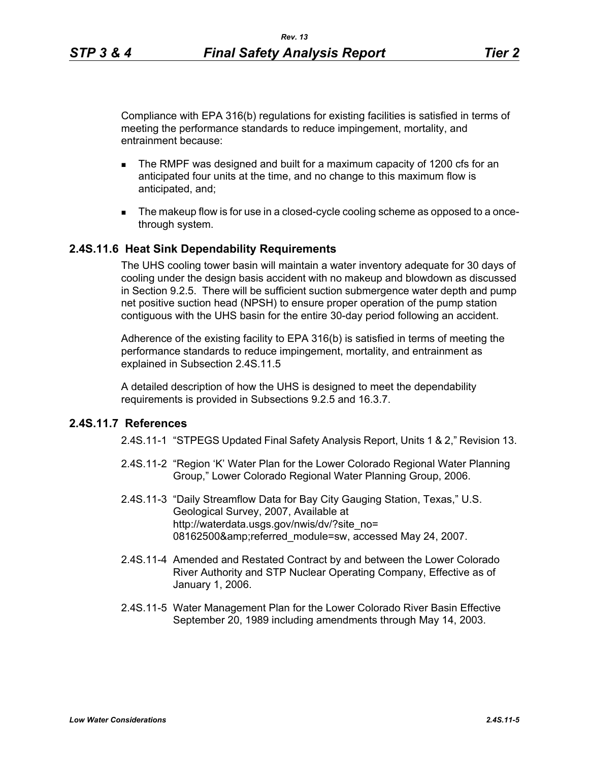Compliance with EPA 316(b) regulations for existing facilities is satisfied in terms of meeting the performance standards to reduce impingement, mortality, and entrainment because:

- The RMPF was designed and built for a maximum capacity of 1200 cfs for an anticipated four units at the time, and no change to this maximum flow is anticipated, and;
- The makeup flow is for use in a closed-cycle cooling scheme as opposed to a oncethrough system.

#### **2.4S.11.6 Heat Sink Dependability Requirements**

The UHS cooling tower basin will maintain a water inventory adequate for 30 days of cooling under the design basis accident with no makeup and blowdown as discussed in Section 9.2.5. There will be sufficient suction submergence water depth and pump net positive suction head (NPSH) to ensure proper operation of the pump station contiguous with the UHS basin for the entire 30-day period following an accident.

Adherence of the existing facility to EPA 316(b) is satisfied in terms of meeting the performance standards to reduce impingement, mortality, and entrainment as explained in Subsection 2.4S.11.5

A detailed description of how the UHS is designed to meet the dependability requirements is provided in Subsections 9.2.5 and 16.3.7.

## <span id="page-4-1"></span><span id="page-4-0"></span>**2.4S.11.7 References**

2.4S.11-1 "STPEGS Updated Final Safety Analysis Report, Units 1 & 2," Revision 13.

- 2.4S.11-2 "Region 'K' Water Plan for the Lower Colorado Regional Water Planning Group," Lower Colorado Regional Water Planning Group, 2006.
- <span id="page-4-2"></span>2.4S.11-3 "Daily Streamflow Data for Bay City Gauging Station, Texas," U.S. Geological Survey, 2007, Available at http://waterdata.usgs.gov/nwis/dv/?site\_no= 08162500&referred\_module=sw, accessed May 24, 2007.
- <span id="page-4-3"></span>2.4S.11-4 Amended and Restated Contract by and between the Lower Colorado River Authority and STP Nuclear Operating Company, Effective as of January 1, 2006.
- <span id="page-4-4"></span>2.4S.11-5 Water Management Plan for the Lower Colorado River Basin Effective September 20, 1989 including amendments through May 14, 2003.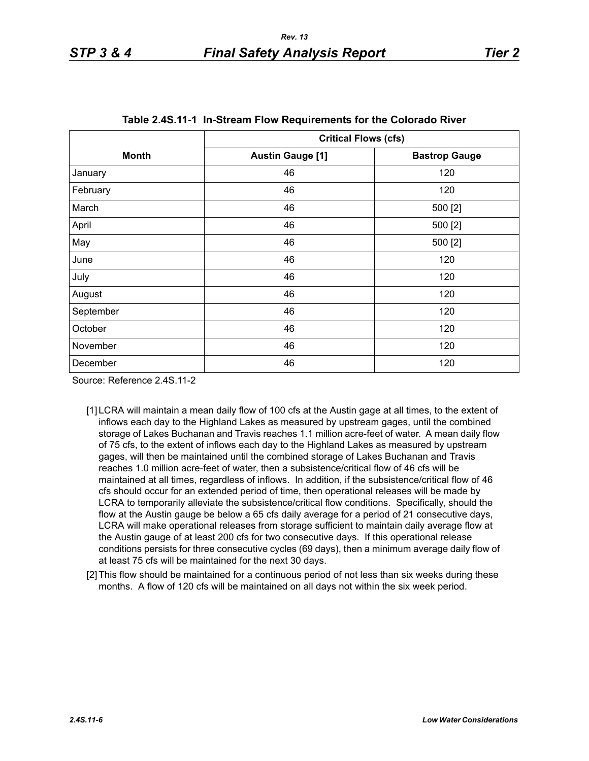<span id="page-5-0"></span>

|              | <b>Critical Flows (cfs)</b> |                      |  |  |  |  |
|--------------|-----------------------------|----------------------|--|--|--|--|
| <b>Month</b> | <b>Austin Gauge [1]</b>     | <b>Bastrop Gauge</b> |  |  |  |  |
| January      | 46                          | 120                  |  |  |  |  |
| February     | 46                          | 120                  |  |  |  |  |
| March        | 46                          | 500 [2]              |  |  |  |  |
| April        | 46                          | 500 [2]              |  |  |  |  |
| May          | 46                          | 500 [2]              |  |  |  |  |
| June         | 46                          | 120                  |  |  |  |  |
| July         | 46                          | 120                  |  |  |  |  |
| August       | 46                          | 120                  |  |  |  |  |
| September    | 46                          | 120                  |  |  |  |  |
| October      | 46                          | 120                  |  |  |  |  |
| November     | 46                          | 120                  |  |  |  |  |
| December     | 46                          | 120                  |  |  |  |  |

Source: Reference 2.4S.11-2

- [1] LCRA will maintain a mean daily flow of 100 cfs at the Austin gage at all times, to the extent of inflows each day to the Highland Lakes as measured by upstream gages, until the combined storage of Lakes Buchanan and Travis reaches 1.1 million acre-feet of water. A mean daily flow of 75 cfs, to the extent of inflows each day to the Highland Lakes as measured by upstream gages, will then be maintained until the combined storage of Lakes Buchanan and Travis reaches 1.0 million acre-feet of water, then a subsistence/critical flow of 46 cfs will be maintained at all times, regardless of inflows. In addition, if the subsistence/critical flow of 46 cfs should occur for an extended period of time, then operational releases will be made by LCRA to temporarily alleviate the subsistence/critical flow conditions. Specifically, should the flow at the Austin gauge be below a 65 cfs daily average for a period of 21 consecutive days, LCRA will make operational releases from storage sufficient to maintain daily average flow at the Austin gauge of at least 200 cfs for two consecutive days. If this operational release conditions persists for three consecutive cycles (69 days), then a minimum average daily flow of at least 75 cfs will be maintained for the next 30 days.
- <span id="page-5-1"></span>[2] This flow should be maintained for a continuous period of not less than six weeks during these months. A flow of 120 cfs will be maintained on all days not within the six week period.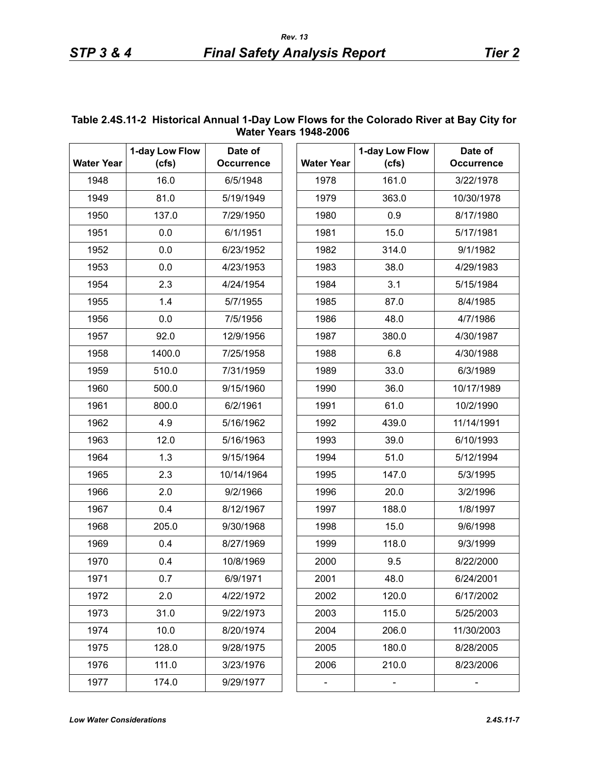|                   | 1-day Low Flow | Date of           |                   | 1-day Low Flow | Date of           |
|-------------------|----------------|-------------------|-------------------|----------------|-------------------|
| <b>Water Year</b> | (cfs)          | <b>Occurrence</b> | <b>Water Year</b> | (cfs)          | <b>Occurrence</b> |
| 1948              | 16.0           | 6/5/1948          | 1978              | 161.0          | 3/22/1978         |
| 1949              | 81.0           | 5/19/1949         | 1979              | 363.0          | 10/30/1978        |
| 1950              | 137.0          | 7/29/1950         | 1980              | 0.9            | 8/17/1980         |
| 1951              | 0.0            | 6/1/1951          | 1981              | 15.0           | 5/17/1981         |
| 1952              | 0.0            | 6/23/1952         | 1982              | 314.0          | 9/1/1982          |
| 1953              | 0.0            | 4/23/1953         | 1983              | 38.0           | 4/29/1983         |
| 1954              | 2.3            | 4/24/1954         | 1984              | 3.1            | 5/15/1984         |
| 1955              | 1.4            | 5/7/1955          | 1985              | 87.0           | 8/4/1985          |
| 1956              | 0.0            | 7/5/1956          | 1986              | 48.0           | 4/7/1986          |
| 1957              | 92.0           | 12/9/1956         | 1987              | 380.0          | 4/30/1987         |
| 1958              | 1400.0         | 7/25/1958         | 1988              | 6.8            | 4/30/1988         |
| 1959              | 510.0          | 7/31/1959         | 1989              | 33.0           | 6/3/1989          |
| 1960              | 500.0          | 9/15/1960         | 1990              | 36.0           | 10/17/1989        |
| 1961              | 800.0          | 6/2/1961          | 1991              | 61.0           | 10/2/1990         |
| 1962              | 4.9            | 5/16/1962         | 1992              | 439.0          | 11/14/1991        |
| 1963              | 12.0           | 5/16/1963         | 1993              | 39.0           | 6/10/1993         |
| 1964              | 1.3            | 9/15/1964         | 1994              | 51.0           | 5/12/1994         |
| 1965              | 2.3            | 10/14/1964        | 1995              | 147.0          | 5/3/1995          |
| 1966              | 2.0            | 9/2/1966          | 1996              | 20.0           | 3/2/1996          |
| 1967              | 0.4            | 8/12/1967         | 1997              | 188.0          | 1/8/1997          |
| 1968              | 205.0          | 9/30/1968         | 1998              | 15.0           | 9/6/1998          |
| 1969              | 0.4            | 8/27/1969         | 1999              | 118.0          | 9/3/1999          |
| 1970              | 0.4            | 10/8/1969         | 2000              | 9.5            | 8/22/2000         |
| 1971              | 0.7            | 6/9/1971          | 2001              | 48.0           | 6/24/2001         |
| 1972              | 2.0            | 4/22/1972         | 2002              | 120.0          | 6/17/2002         |
| 1973              | 31.0           | 9/22/1973         | 2003              | 115.0          | 5/25/2003         |
| 1974              | 10.0           | 8/20/1974         | 2004              | 206.0          | 11/30/2003        |
| 1975              | 128.0          | 9/28/1975         | 2005              | 180.0          | 8/28/2005         |
| 1976              | 111.0          | 3/23/1976         | 2006              | 210.0          | 8/23/2006         |
| 1977              | 174.0          | 9/29/1977         |                   |                |                   |

#### <span id="page-6-0"></span>**Table 2.4S.11-2 Historical Annual 1-Day Low Flows for the Colorado River at Bay City for Water Years 1948-2006**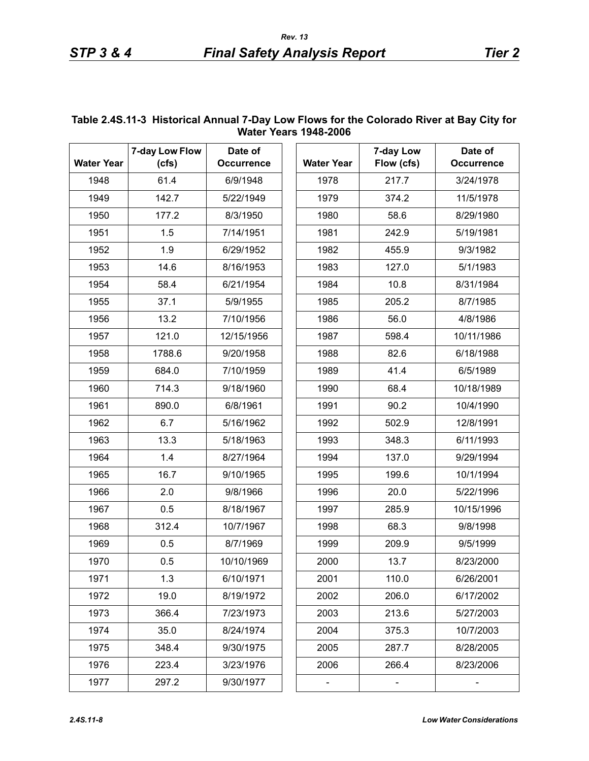|                      |                         |                                                              |      | WALCI ICAIS IJTU-LUUU |                              |                              |
|----------------------|-------------------------|--------------------------------------------------------------|------|-----------------------|------------------------------|------------------------------|
| <b>Water Year</b>    | 7-day Low Flow<br>(cfs) | Date of<br><b>Occurrence</b>                                 |      | <b>Water Year</b>     | 7-day Low<br>Flow (cfs)      | Date of<br><b>Occurrence</b> |
| 1948                 | 61.4                    | 6/9/1948                                                     |      | 1978                  | 217.7                        | 3/24/1978                    |
| 1949                 | 142.7                   | 5/22/1949                                                    |      | 1979                  | 374.2                        | 11/5/1978                    |
| 1950                 | 177.2                   | 8/3/1950                                                     |      | 1980                  | 58.6                         | 8/29/1980                    |
| 1951                 | 1.5                     | 7/14/1951                                                    | 1981 | 242.9                 | 5/19/1981                    |                              |
| 1952                 | 1.9                     | 6/29/1952                                                    |      | 1982                  | 455.9                        | 9/3/1982                     |
| 1953                 | 14.6                    | 8/16/1953                                                    |      | 1983                  | 127.0                        | 5/1/1983                     |
| 1954                 | 58.4                    | 6/21/1954                                                    |      | 1984                  | 10.8                         | 8/31/1984                    |
|                      |                         |                                                              |      |                       |                              |                              |
| 1955                 | 37.1                    | 5/9/1955                                                     |      | 1985                  | 205.2                        | 8/7/1985                     |
| 1956                 | 13.2                    | 7/10/1956                                                    |      | 1986                  | 56.0                         | 4/8/1986                     |
| 1957                 | 121.0                   | 12/15/1956                                                   |      | 1987                  | 598.4                        | 10/11/1986                   |
| 1958                 | 1788.6                  | 9/20/1958                                                    |      | 1988                  | 82.6                         | 6/18/1988                    |
| 1959                 | 684.0                   | 7/10/1959                                                    |      | 1989                  | 41.4                         | 6/5/1989                     |
| 1960                 | 714.3                   | 9/18/1960                                                    |      | 1990                  | 68.4                         | 10/18/1989                   |
| 1961                 | 890.0                   | 6/8/1961                                                     |      | 1991                  | 90.2                         | 10/4/1990                    |
| 1962                 | 6.7                     | 5/16/1962                                                    |      | 1992                  | 502.9                        | 12/8/1991                    |
| 1963                 | 13.3                    | 5/18/1963                                                    |      | 1993                  | 348.3                        | 6/11/1993                    |
| 1964<br>1965<br>1966 | 1.4<br>16.7             | 8/27/1964<br>9/10/1965<br>9/8/1966<br>8/18/1967<br>10/7/1967 |      | 1994                  | 137.0                        | 9/29/1994                    |
|                      |                         |                                                              |      | 1995                  | 199.6                        | 10/1/1994                    |
|                      | 2.0                     |                                                              |      | 1996                  | 20.0                         | 5/22/1996                    |
| 1967                 | 0.5<br>312.4            |                                                              |      | 1997                  | 285.9                        | 10/15/1996                   |
| 1968                 |                         |                                                              |      | 1998                  | 68.3                         | 9/8/1998                     |
| 1969                 | 0.5                     | 8/7/1969                                                     |      | 1999                  | 209.9                        | 9/5/1999                     |
| 1970                 | 0.5                     | 10/10/1969                                                   |      | 2000                  | 13.7                         | 8/23/2000                    |
| 1971                 | 1.3                     | 6/10/1971                                                    |      | 2001                  | 110.0                        | 6/26/2001                    |
| 1972                 | 19.0                    | 8/19/1972                                                    |      | 2002                  | 206.0                        | 6/17/2002                    |
| 1973                 | 366.4                   | 7/23/1973                                                    |      | 2003                  | 213.6                        | 5/27/2003                    |
| 1974                 | 35.0                    | 8/24/1974                                                    |      | 2004                  | 375.3                        | 10/7/2003                    |
| 1975                 | 348.4                   | 9/30/1975                                                    |      | 2005                  | 287.7                        | 8/28/2005                    |
| 1976                 | 223.4                   | 3/23/1976                                                    |      | 2006                  | 266.4                        | 8/23/2006                    |
| 1977                 | 297.2                   | 9/30/1977                                                    |      | -                     | $\qquad \qquad \blacksquare$ | $\qquad \qquad \blacksquare$ |

#### <span id="page-7-0"></span>**Table 2.4S.11-3 Historical Annual 7-Day Low Flows for the Colorado River at Bay City for Water Years 1948-2006**